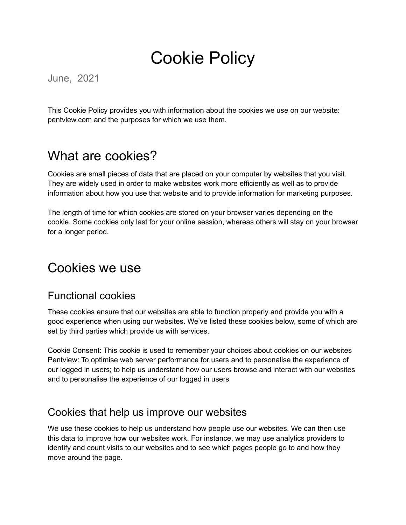# Cookie Policy

June, 2021

This Cookie Policy provides you with information about the cookies we use on our website: pentview.com and the purposes for which we use them.

## What are cookies?

Cookies are small pieces of data that are placed on your computer by websites that you visit. They are widely used in order to make websites work more efficiently as well as to provide information about how you use that website and to provide information for marketing purposes.

The length of time for which cookies are stored on your browser varies depending on the cookie. Some cookies only last for your online session, whereas others will stay on your browser for a longer period.

### Cookies we use

#### Functional cookies

These cookies ensure that our websites are able to function properly and provide you with a good experience when using our websites. We've listed these cookies below, some of which are set by third parties which provide us with services.

Cookie Consent: This cookie is used to remember your choices about cookies on our websites Pentview: To optimise web server performance for users and to personalise the experience of our logged in users; to help us understand how our users browse and interact with our websites and to personalise the experience of our logged in users

#### Cookies that help us improve our websites

We use these cookies to help us understand how people use our websites. We can then use this data to improve how our websites work. For instance, we may use analytics providers to identify and count visits to our websites and to see which pages people go to and how they move around the page.